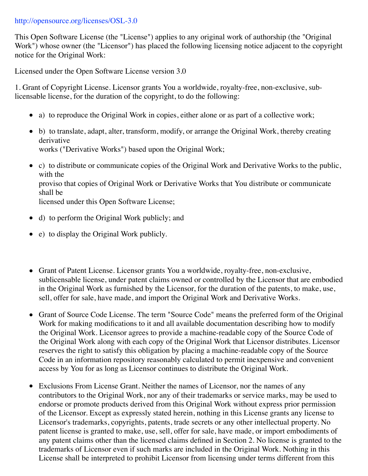## http://opensource.org/licenses/OSL-3.0

This Open Software License (the "License") applies to any original work of authorship (the "Original Work") whose owner (the "Licensor") has placed the following licensing notice adjacent to the copyright notice for the Original Work:

Licensed under the Open Software License version 3.0

1. Grant of Copyright License. Licensor grants You a worldwide, royalty-free, non-exclusive, sublicensable license, for the duration of the copyright, to do the following:

- a) to reproduce the Original Work in copies, either alone or as part of a collective work;
- b) to translate, adapt, alter, transform, modify, or arrange the Original Work, thereby creating derivative works ("Derivative Works") based upon the Original Work;
- c) to distribute or communicate copies of the Original Work and Derivative Works to the public, with the proviso that copies of Original Work or Derivative Works that You distribute or communicate shall be licensed under this Open Software License;
- d) to perform the Original Work publicly; and
- e) to display the Original Work publicly.
- Grant of Patent License. Licensor grants You a worldwide, royalty-free, non-exclusive, sublicensable license, under patent claims owned or controlled by the Licensor that are embodied in the Original Work as furnished by the Licensor, for the duration of the patents, to make, use, sell, offer for sale, have made, and import the Original Work and Derivative Works.
- Grant of Source Code License. The term "Source Code" means the preferred form of the Original Work for making modifications to it and all available documentation describing how to modify the Original Work. Licensor agrees to provide a machine-readable copy of the Source Code of the Original Work along with each copy of the Original Work that Licensor distributes. Licensor reserves the right to satisfy this obligation by placing a machine-readable copy of the Source Code in an information repository reasonably calculated to permit inexpensive and convenient access by You for as long as Licensor continues to distribute the Original Work.
- Exclusions From License Grant. Neither the names of Licensor, nor the names of any contributors to the Original Work, nor any of their trademarks or service marks, may be used to endorse or promote products derived from this Original Work without express prior permission of the Licensor. Except as expressly stated herein, nothing in this License grants any license to Licensor's trademarks, copyrights, patents, trade secrets or any other intellectual property. No patent license is granted to make, use, sell, offer for sale, have made, or import embodiments of any patent claims other than the licensed claims defined in Section 2. No license is granted to the trademarks of Licensor even if such marks are included in the Original Work. Nothing in this License shall be interpreted to prohibit Licensor from licensing under terms different from this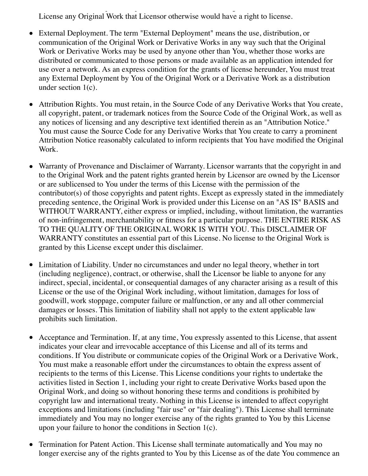$L$ icense shall be interpreted to probibit Licensing under terms different from this term different from this term License any Original Work that Licensor otherwise would have a right to license.

- External Deployment. The term "External Deployment" means the use, distribution, or communication of the Original Work or Derivative Works in any way such that the Original Work or Derivative Works may be used by anyone other than You, whether those works are distributed or communicated to those persons or made available as an application intended for use over a network. As an express condition for the grants of license hereunder, You must treat any External Deployment by You of the Original Work or a Derivative Work as a distribution under section 1(c).
- Attribution Rights. You must retain, in the Source Code of any Derivative Works that You create, all copyright, patent, or trademark notices from the Source Code of the Original Work, as well as any notices of licensing and any descriptive text identified therein as an "Attribution Notice." You must cause the Source Code for any Derivative Works that You create to carry a prominent Attribution Notice reasonably calculated to inform recipients that You have modified the Original Work.
- Warranty of Provenance and Disclaimer of Warranty. Licensor warrants that the copyright in and to the Original Work and the patent rights granted herein by Licensor are owned by the Licensor or are sublicensed to You under the terms of this License with the permission of the contributor(s) of those copyrights and patent rights. Except as expressly stated in the immediately preceding sentence, the Original Work is provided under this License on an "AS IS" BASIS and WITHOUT WARRANTY, either express or implied, including, without limitation, the warranties of non-infringement, merchantability or fitness for a particular purpose. THE ENTIRE RISK AS TO THE QUALITY OF THE ORIGINAL WORK IS WITH YOU. This DISCLAIMER OF WARRANTY constitutes an essential part of this License. No license to the Original Work is granted by this License except under this disclaimer.
- Limitation of Liability. Under no circumstances and under no legal theory, whether in tort (including negligence), contract, or otherwise, shall the Licensor be liable to anyone for any indirect, special, incidental, or consequential damages of any character arising as a result of this License or the use of the Original Work including, without limitation, damages for loss of goodwill, work stoppage, computer failure or malfunction, or any and all other commercial damages or losses. This limitation of liability shall not apply to the extent applicable law prohibits such limitation.
- Acceptance and Termination. If, at any time, You expressly assented to this License, that assent indicates your clear and irrevocable acceptance of this License and all of its terms and conditions. If You distribute or communicate copies of the Original Work or a Derivative Work, You must make a reasonable effort under the circumstances to obtain the express assent of recipients to the terms of this License. This License conditions your rights to undertake the activities listed in Section 1, including your right to create Derivative Works based upon the Original Work, and doing so without honoring these terms and conditions is prohibited by copyright law and international treaty. Nothing in this License is intended to affect copyright exceptions and limitations (including "fair use" or "fair dealing"). This License shall terminate immediately and You may no longer exercise any of the rights granted to You by this License upon your failure to honor the conditions in Section 1(c).
- Termination for Patent Action. This License shall terminate automatically and You may no longer exercise any of the rights granted to You by this License as of the date You commence an